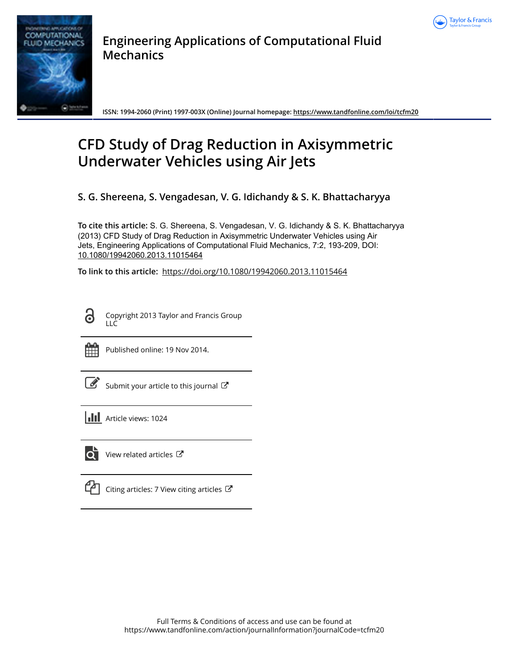



**Engineering Applications of Computational Fluid Mechanics**

**ISSN: 1994-2060 (Print) 1997-003X (Online) Journal homepage: <https://www.tandfonline.com/loi/tcfm20>**

# **CFD Study of Drag Reduction in Axisymmetric Underwater Vehicles using Air Jets**

**S. G. Shereena, S. Vengadesan, V. G. Idichandy & S. K. Bhattacharyya**

**To cite this article:** S. G. Shereena, S. Vengadesan, V. G. Idichandy & S. K. Bhattacharyya (2013) CFD Study of Drag Reduction in Axisymmetric Underwater Vehicles using Air Jets, Engineering Applications of Computational Fluid Mechanics, 7:2, 193-209, DOI: [10.1080/19942060.2013.11015464](https://www.tandfonline.com/action/showCitFormats?doi=10.1080/19942060.2013.11015464)

**To link to this article:** <https://doi.org/10.1080/19942060.2013.11015464>

Copyright 2013 Taylor and Francis Group LLC



Published online: 19 Nov 2014.

| ł<br>I |
|--------|
|--------|

[Submit your article to this journal](https://www.tandfonline.com/action/authorSubmission?journalCode=tcfm20&show=instructions)  $\mathbb{Z}$ 

|  | <b>III</b> Article views: 1024 |  |
|--|--------------------------------|--|
|  |                                |  |



View related articles

[Citing articles: 7 View citing articles](https://www.tandfonline.com/doi/citedby/10.1080/19942060.2013.11015464#tabModule)  $\mathbb{Z}$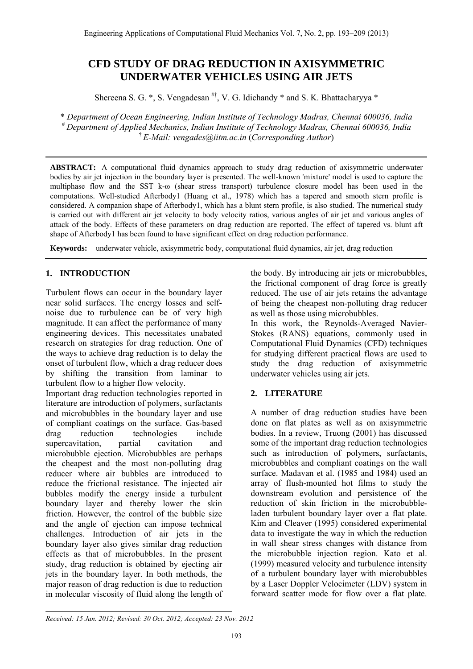# **CFD STUDY OF DRAG REDUCTION IN AXISYMMETRIC UNDERWATER VEHICLES USING AIR JETS**

Shereena S. G.  $^*$ , S. Vengadesan  $^{H^{\dagger}}$ , V. G. Idichandy  $^*$  and S. K. Bhattacharyya  $^*$ 

\* *Department of Ocean Engineering, Indian Institute of Technology Madras, Chennai 600036, India # Department of Applied Mechanics, Indian Institute of Technology Madras, Chennai 600036, India*  † *E-Mail: vengades@iitm.ac.in* (*Corresponding Author*)

**ABSTRACT:** A computational fluid dynamics approach to study drag reduction of axisymmetric underwater bodies by air jet injection in the boundary layer is presented. The well-known 'mixture' model is used to capture the multiphase flow and the SST k-ω (shear stress transport) turbulence closure model has been used in the computations. Well-studied Afterbody1 (Huang et al., 1978) which has a tapered and smooth stern profile is considered. A companion shape of Afterbody1, which has a blunt stern profile, is also studied. The numerical study is carried out with different air jet velocity to body velocity ratios, various angles of air jet and various angles of attack of the body. Effects of these parameters on drag reduction are reported. The effect of tapered vs. blunt aft shape of Afterbody1 has been found to have significant effect on drag reduction performance.

**Keywords:** underwater vehicle, axisymmetric body, computational fluid dynamics, air jet, drag reduction

# **1. INTRODUCTION**

Turbulent flows can occur in the boundary layer near solid surfaces. The energy losses and selfnoise due to turbulence can be of very high magnitude. It can affect the performance of many engineering devices. This necessitates unabated research on strategies for drag reduction. One of the ways to achieve drag reduction is to delay the onset of turbulent flow, which a drag reducer does by shifting the transition from laminar to turbulent flow to a higher flow velocity.

Important drag reduction technologies reported in literature are introduction of polymers, surfactants and microbubbles in the boundary layer and use of compliant coatings on the surface. Gas-based drag reduction technologies include supercavitation, partial cavitation and microbubble ejection. Microbubbles are perhaps the cheapest and the most non-polluting drag reducer where air bubbles are introduced to reduce the frictional resistance. The injected air bubbles modify the energy inside a turbulent boundary layer and thereby lower the skin friction. However, the control of the bubble size and the angle of ejection can impose technical challenges. Introduction of air jets in the boundary layer also gives similar drag reduction effects as that of microbubbles. In the present study, drag reduction is obtained by ejecting air jets in the boundary layer. In both methods, the major reason of drag reduction is due to reduction in molecular viscosity of fluid along the length of the body. By introducing air jets or microbubbles, the frictional component of drag force is greatly reduced. The use of air jets retains the advantage of being the cheapest non-polluting drag reducer as well as those using microbubbles.

In this work, the Reynolds-Averaged Navier-Stokes (RANS) equations, commonly used in Computational Fluid Dynamics (CFD) techniques for studying different practical flows are used to study the drag reduction of axisymmetric underwater vehicles using air jets.

## **2. LITERATURE**

A number of drag reduction studies have been done on flat plates as well as on axisymmetric bodies. In a review, Truong (2001) has discussed some of the important drag reduction technologies such as introduction of polymers, surfactants, microbubbles and compliant coatings on the wall surface. Madavan et al. (1985 and 1984) used an array of flush-mounted hot films to study the downstream evolution and persistence of the reduction of skin friction in the microbubbleladen turbulent boundary layer over a flat plate. Kim and Cleaver (1995) considered experimental data to investigate the way in which the reduction in wall shear stress changes with distance from the microbubble injection region. Kato et al. (1999) measured velocity and turbulence intensity of a turbulent boundary layer with microbubbles by a Laser Doppler Velocimeter (LDV) system in forward scatter mode for flow over a flat plate.

*Received: 15 Jan. 2012; Revised: 30 Oct. 2012; Accepted: 23 Nov. 2012*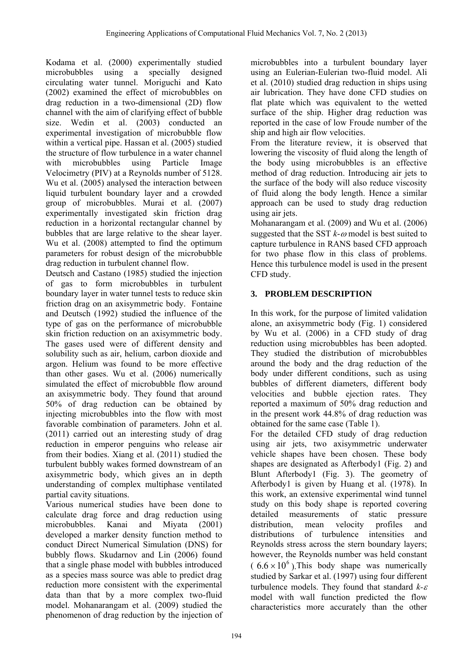Kodama et al. (2000) experimentally studied microbubbles using a specially designed circulating water tunnel. Moriguchi and Kato (2002) examined the effect of microbubbles on drag reduction in a two-dimensional (2D) flow channel with the aim of clarifying effect of bubble size. Wedin et al. (2003) conducted an experimental investigation of microbubble flow within a vertical pipe. Hassan et al. (2005) studied the structure of flow turbulence in a water channel with microbubbles using Particle Image Velocimetry (PIV) at a Reynolds number of 5128. Wu et al. (2005) analysed the interaction between liquid turbulent boundary layer and a crowded group of microbubbles. Murai et al. (2007) experimentally investigated skin friction drag reduction in a horizontal rectangular channel by bubbles that are large relative to the shear layer. Wu et al. (2008) attempted to find the optimum parameters for robust design of the microbubble drag reduction in turbulent channel flow.

Deutsch and Castano (1985) studied the injection of gas to form microbubbles in turbulent boundary layer in water tunnel tests to reduce skin friction drag on an axisymmetric body. Fontaine and Deutsch (1992) studied the influence of the type of gas on the performance of microbubble skin friction reduction on an axisymmetric body. The gases used were of different density and solubility such as air, helium, carbon dioxide and argon. Helium was found to be more effective than other gases. Wu et al. (2006) numerically simulated the effect of microbubble flow around an axisymmetric body. They found that around 50% of drag reduction can be obtained by injecting microbubbles into the flow with most favorable combination of parameters. John et al. (2011) carried out an interesting study of drag reduction in emperor penguins who release air from their bodies. Xiang et al. (2011) studied the turbulent bubbly wakes formed downstream of an axisymmetric body, which gives an in depth understanding of complex multiphase ventilated partial cavity situations.

Various numerical studies have been done to calculate drag force and drag reduction using microbubbles. Kanai and Miyata (2001) developed a marker density function method to conduct Direct Numerical Simulation (DNS) for bubbly flows. Skudarnov and Lin (2006) found that a single phase model with bubbles introduced as a species mass source was able to predict drag reduction more consistent with the experimental data than that by a more complex two-fluid model. Mohanarangam et al. (2009) studied the phenomenon of drag reduction by the injection of microbubbles into a turbulent boundary layer using an Eulerian-Eulerian two-fluid model. Ali et al. (2010) studied drag reduction in ships using air lubrication. They have done CFD studies on flat plate which was equivalent to the wetted surface of the ship. Higher drag reduction was reported in the case of low Froude number of the ship and high air flow velocities.

From the literature review, it is observed that lowering the viscosity of fluid along the length of the body using microbubbles is an effective method of drag reduction. Introducing air jets to the surface of the body will also reduce viscosity of fluid along the body length. Hence a similar approach can be used to study drag reduction using air jets.

Mohanarangam et al. (2009) and Wu et al. (2006) suggested that the SST  $k$ - $\omega$  model is best suited to capture turbulence in RANS based CFD approach for two phase flow in this class of problems. Hence this turbulence model is used in the present CFD study.

# **3. PROBLEM DESCRIPTION**

In this work, for the purpose of limited validation alone, an axisymmetric body (Fig. 1) considered by Wu et al. (2006) in a CFD study of drag reduction using microbubbles has been adopted. They studied the distribution of microbubbles around the body and the drag reduction of the body under different conditions, such as using bubbles of different diameters, different body velocities and bubble ejection rates. They reported a maximum of 50% drag reduction and in the present work 44.8% of drag reduction was obtained for the same case (Table 1).

For the detailed CFD study of drag reduction using air jets, two axisymmetric underwater vehicle shapes have been chosen. These body shapes are designated as Afterbody1 (Fig. 2) and Blunt Afterbody1 (Fig. 3). The geometry of Afterbody1 is given by Huang et al. (1978). In this work, an extensive experimental wind tunnel study on this body shape is reported covering detailed measurements of static pressure distribution, mean velocity profiles and distributions of turbulence intensities and Reynolds stress across the stern boundary layers; however, the Reynolds number was held constant  $(6.6 \times 10^6)$ . This body shape was numerically studied by Sarkar et al. (1997) using four different turbulence models. They found that standard *k* model with wall function predicted the flow characteristics more accurately than the other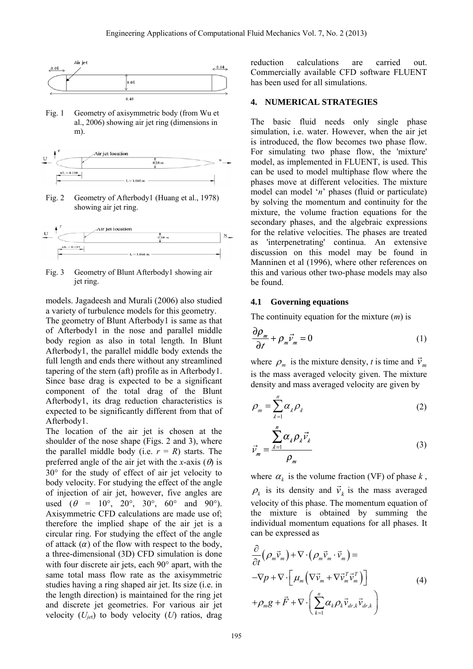

Fig. 1 Geometry of axisymmetric body (from Wu et al., 2006) showing air jet ring (dimensions in m).



Fig. 2 Geometry of Afterbody1 (Huang et al., 1978) showing air jet ring.



Fig. 3 Geometry of Blunt Afterbody1 showing air jet ring.

models. Jagadeesh and Murali (2006) also studied a variety of turbulence models for this geometry.

The geometry of Blunt Afterbody1 is same as that of Afterbody1 in the nose and parallel middle body region as also in total length. In Blunt Afterbody1, the parallel middle body extends the full length and ends there without any streamlined tapering of the stern (aft) profile as in Afterbody1. Since base drag is expected to be a significant component of the total drag of the Blunt Afterbody1, its drag reduction characteristics is expected to be significantly different from that of Afterbody1.

The location of the air jet is chosen at the shoulder of the nose shape (Figs. 2 and 3), where the parallel middle body (i.e.  $r = R$ ) starts. The preferred angle of the air jet with the *x*-axis  $(\theta)$  is  $30^{\circ}$  for the study of effect of air jet velocity to body velocity. For studying the effect of the angle of injection of air jet, however, five angles are used  $(\theta = 10^{\circ}, 20^{\circ}, 30^{\circ}, 60^{\circ}$  and 90°). Axisymmetric CFD calculations are made use of; therefore the implied shape of the air jet is a circular ring. For studying the effect of the angle of attack  $(\alpha)$  of the flow with respect to the body, a three-dimensional (3D) CFD simulation is done with four discrete air jets, each  $90^\circ$  apart, with the same total mass flow rate as the axisymmetric studies having a ring shaped air jet. Its size (i.e. in the length direction) is maintained for the ring jet and discrete jet geometries. For various air jet velocity  $(U_{jet})$  to body velocity  $(U)$  ratios, drag

reduction calculations are carried out. Commercially available CFD software FLUENT has been used for all simulations.

#### **4. NUMERICAL STRATEGIES**

The basic fluid needs only single phase simulation, i.e. water. However, when the air jet is introduced, the flow becomes two phase flow. For simulating two phase flow, the 'mixture' model, as implemented in FLUENT, is used. This can be used to model multiphase flow where the phases move at different velocities. The mixture model can model '*n*' phases (fluid or particulate) by solving the momentum and continuity for the mixture, the volume fraction equations for the secondary phases, and the algebraic expressions for the relative velocities. The phases are treated as 'interpenetrating' continua. An extensive discussion on this model may be found in Manninen et al (1996), where other references on this and various other two-phase models may also be found.

#### **4.1 Governing equations**

 $\overline{\phantom{a}}$ 

The continuity equation for the mixture (*m*) is

$$
\frac{\partial \rho_m}{\partial t} + \rho_m \vec{v}_m = 0 \tag{1}
$$

where  $\rho_m$  is the mixture density, *t* is time and  $\vec{v}_m$ is the mass averaged velocity given. The mixture density and mass averaged velocity are given by

$$
\rho_m = \sum_{k=1}^n \alpha_k \rho_k \tag{2}
$$

$$
\vec{v}_m = \frac{\sum_{k=1}^N \alpha_k \rho_k \vec{v}_k}{\rho_m} \tag{3}
$$

where  $\alpha_k$  is the volume fraction (VF) of phase  $k$ ,  $\rho_k$  is its density and  $\vec{v}_k$  is the mass averaged velocity of this phase. The momentum equation of the mixture is obtained by summing the individual momentum equations for all phases. It can be expressed as

$$
\frac{\partial}{\partial t} (\rho_m \vec{v}_m) + \nabla \cdot (\rho_m \vec{v}_m \cdot \vec{v}_m) = \n- \nabla p + \nabla \cdot \left[ \mu_m \left( \nabla \vec{v}_m + \nabla \vec{v}_m^T \vec{v}_m^T \right) \right] \n+ \rho_m g + \vec{F} + \nabla \cdot \left( \sum_{k=1}^n \alpha_k \rho_k \vec{v}_{dr,k} \vec{v}_{dr,k} \right)
$$
\n(4)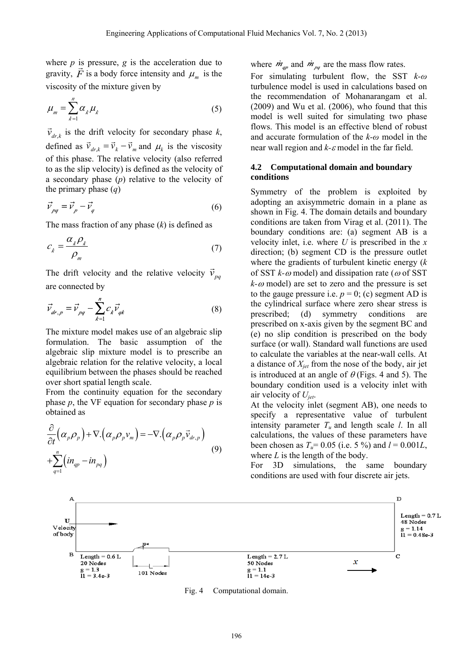where  $p$  is pressure,  $g$  is the acceleration due to where *p* is pressure, g is the acceleration due to gravity,  $\vec{F}$  is a body force intensity and  $\mu_m$  is the viscosity of the mixture given by

$$
\mu_m = \sum_{k=1}^n \alpha_k \mu_k \tag{5}
$$

 $\vec{v}_{dr,k}$  is the drift velocity for secondary phase *k*, defined as  $\vec{v}_{dr,k} = \vec{v}_k - \vec{v}_m$  and  $\mu_k$  is the viscosity of this phase. The relative velocity (also referred to as the slip velocity) is defined as the velocity of a secondary phase (*p*) relative to the velocity of the primary phase (*q*)

$$
\vec{v}_{pq} = \vec{v}_p - \vec{v}_q \tag{6}
$$

The mass fraction of any phase (*k*) is defined as

$$
c_k = \frac{\alpha_k \rho_k}{\rho_m} \tag{7}
$$

The drift velocity and the relative velocity  $\vec{v}_{pq}$ are connected by

$$
\vec{v}_{dr,p} = \vec{v}_{pq} - \sum_{k=1}^{n} c_k \vec{v}_{qk}
$$
 (8)

The mixture model makes use of an algebraic slip formulation. The basic assumption of the algebraic slip mixture model is to prescribe an algebraic relation for the relative velocity, a local equilibrium between the phases should be reached over short spatial length scale.

From the continuity equation for the secondary phase *p*, the VF equation for secondary phase *p* is obtained as

$$
\frac{\partial}{\partial t} \left( \alpha_p \rho_p \right) + \nabla \left( \alpha_p \rho_p v_m \right) = - \nabla \left( \alpha_p \rho_p \vec{v}_{dr,p} \right) \n+ \sum_{q=1}^n \left( i n_{qp} - i n_{pq} \right)
$$
\n(9)

where  $\dot{m}_{qp}$  and  $\dot{m}_{pq}$  are the mass flow rates.

For simulating turbulent flow, the SST *k-ω* turbulence model is used in calculations based on the recommendation of Mohanarangam et al. (2009) and Wu et al. (2006), who found that this model is well suited for simulating two phase flows. This model is an effective blend of robust and accurate formulation of the *k-ω* model in the near wall region and  $k$ - $\varepsilon$  model in the far field.

#### **4.2 Computational domain and boundary conditions**

Symmetry of the problem is exploited by adopting an axisymmetric domain in a plane as shown in Fig. 4. The domain details and boundary conditions are taken from Virag et al. (2011). The boundary conditions are: (a) segment AB is a velocity inlet, i.e. where *U* is prescribed in the *x* direction; (b) segment CD is the pressure outlet where the gradients of turbulent kinetic energy (*k*  of SST  $k$ - $\omega$  model) and dissipation rate ( $\omega$  of SST  $k-\omega$  model) are set to zero and the pressure is set to the gauge pressure i.e.  $p = 0$ ; (c) segment AD is the cylindrical surface where zero shear stress is prescribed; (d) symmetry conditions are prescribed on x-axis given by the segment BC and (e) no slip condition is prescribed on the body surface (or wall). Standard wall functions are used to calculate the variables at the near-wall cells. At a distance of *Xjet* from the nose of the body, air jet is introduced at an angle of  $\theta$  (Figs. 4 and 5). The boundary condition used is a velocity inlet with air velocity of *Ujet*.

At the velocity inlet (segment AB), one needs to specify a representative value of turbulent intensity parameter  $T_u$  and length scale *l*. In all calculations, the values of these parameters have been chosen as  $T_u = 0.05$  (i.e. 5 %) and  $l = 0.001L$ , where *L* is the length of the body.

For 3D simulations, the same boundary conditions are used with four discrete air jets.



Fig. 4 Computational domain.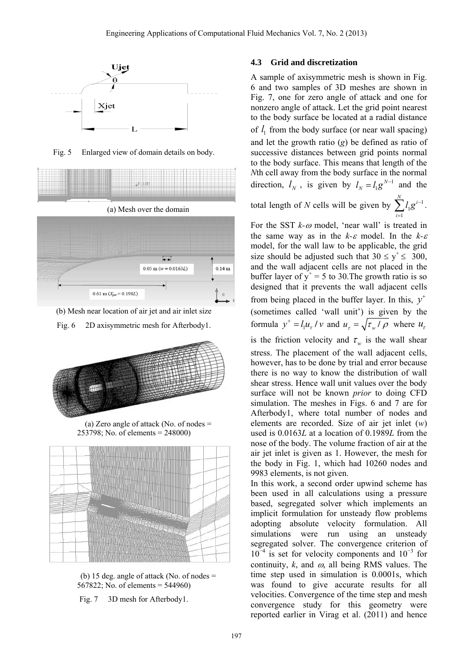

Fig. 5 Enlarged view of domain details on body.



(b) Mesh near location of air jet and air inlet size

 $0.61$  m ( $X_{jet} = 0.198L$ )

Fig. 6 2D axisymmetric mesh for Afterbody1.



(a) Zero angle of attack (No. of nodes  $=$ 253798; No. of elements = 248000)



(b) 15 deg. angle of attack (No. of nodes = 567822; No. of elements = 544960)

Fig. 7 3D mesh for Afterbody1.

### **4.3 Grid and discretization**

A sample of axisymmetric mesh is shown in Fig. 6 and two samples of 3D meshes are shown in Fig. 7, one for zero angle of attack and one for nonzero angle of attack. Let the grid point nearest to the body surface be located at a radial distance of  $l_1$  from the body surface (or near wall spacing) and let the growth ratio (*g*) be defined as ratio of successive distances between grid points normal to the body surface. This means that length of the *N*th cell away from the body surface in the normal direction,  $l_N$ , is given by  $l_N = l_1 g^{N-1}$  $l_N = l_1 g^{N-1}$  and the total length of *N* cells will be given by  $\sum l_1 g^{i-1}$ 1  $\sum^N l_1 g^{i-1}$  . *i* E,

For the SST  $k-\omega$  model, 'near wall' is treated in the same way as in the  $k-\varepsilon$  model. In the  $k-\varepsilon$ model, for the wall law to be applicable, the grid size should be adjusted such that  $30 \le y^+ \le 300$ , and the wall adjacent cells are not placed in the buffer layer of  $y^+=5$  to 30. The growth ratio is so designed that it prevents the wall adjacent cells from being placed in the buffer layer. In this,  $y^+$ (sometimes called 'wall unit') is given by the formula  $y^+ = l_1 u_\tau / v$  and  $u_\tau = \sqrt{\tau_w / \rho}$  where  $u_\tau$ is the friction velocity and  $\tau_w$  is the wall shear stress. The placement of the wall adjacent cells, however, has to be done by trial and error because there is no way to know the distribution of wall shear stress. Hence wall unit values over the body surface will not be known *prior* to doing CFD simulation. The meshes in Figs. 6 and 7 are for Afterbody1, where total number of nodes and elements are recorded. Size of air jet inlet (*w*) used is 0.0163*L* at a location of 0.1989*L* from the nose of the body. The volume fraction of air at the air jet inlet is given as 1. However, the mesh for the body in Fig. 1, which had 10260 nodes and 9983 elements, is not given.

In this work, a second order upwind scheme has been used in all calculations using a pressure based, segregated solver which implements an implicit formulation for unsteady flow problems adopting absolute velocity formulation. All simulations were run using an unsteady segregated solver. The convergence criterion of 10<sup>−</sup><sup>4</sup> is set for velocity components and 10<sup>−</sup><sup>3</sup> for continuity,  $k$ , and  $\omega$ , all being RMS values. The time step used in simulation is 0.0001s, which was found to give accurate results for all velocities. Convergence of the time step and mesh convergence study for this geometry were reported earlier in Virag et al. (2011) and hence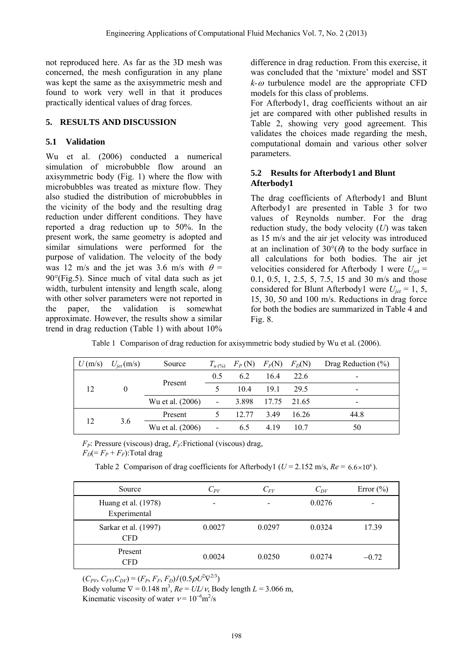not reproduced here. As far as the 3D mesh was concerned, the mesh configuration in any plane was kept the same as the axisymmetric mesh and found to work very well in that it produces practically identical values of drag forces.

### **5. RESULTS AND DISCUSSION**

## **5.1 Validation**

Wu et al. (2006) conducted a numerical simulation of microbubble flow around an axisymmetric body (Fig. 1) where the flow with microbubbles was treated as mixture flow. They also studied the distribution of microbubbles in the vicinity of the body and the resulting drag reduction under different conditions. They have reported a drag reduction up to 50%. In the present work, the same geometry is adopted and similar simulations were performed for the purpose of validation. The velocity of the body was 12 m/s and the jet was 3.6 m/s with  $\theta$  =  $90^{\circ}$ (Fig.5). Since much of vital data such as jet width, turbulent intensity and length scale, along with other solver parameters were not reported in the paper, the validation is somewhat approximate. However, the results show a similar trend in drag reduction (Table 1) with about 10%

difference in drag reduction. From this exercise, it was concluded that the 'mixture' model and SST  $k-a$  turbulence model are the appropriate CFD models for this class of problems.

For Afterbody1, drag coefficients without an air jet are compared with other published results in Table 2, showing very good agreement. This validates the choices made regarding the mesh, computational domain and various other solver parameters.

## **5.2 Results for Afterbody1 and Blunt Afterbody1**

The drag coefficients of Afterbody1 and Blunt Afterbody1 are presented in Table 3 for two values of Reynolds number. For the drag reduction study, the body velocity (*U*) was taken as 15 m/s and the air jet velocity was introduced at an inclination of  $30^{\circ}$ ( $\theta$ ) to the body surface in all calculations for both bodies. The air jet velocities considered for Afterbody 1 were  $U_{jet}$  = 0.1, 0.5, 1, 2.5, 5, 7.5, 15 and 30 m/s and those considered for Blunt Afterbody1 were  $U_{jet} = 1, 5,$ 15, 30, 50 and 100 m/s. Reductions in drag force for both the bodies are summarized in Table 4 and Fig. 8.

| U(m/s)         | $U_{\text{jet}}$ (m/s) | Source           | $T_{u\,(\%)}$            | $F_P(N)$ | $F_F(N)$    | $F_D(N)$ | Drag Reduction $(\% )$   |
|----------------|------------------------|------------------|--------------------------|----------|-------------|----------|--------------------------|
|                |                        |                  | 0.5                      | 6.2      | 16.4        | 22.6     | $\overline{\phantom{a}}$ |
| 12<br>$\theta$ |                        | Present          | 5                        | 10.4     | 19.1        | 29.5     | $\overline{\phantom{a}}$ |
|                |                        | Wu et al. (2006) | $\blacksquare$           | 3.898    | 17.75 21.65 |          | $\overline{\phantom{a}}$ |
| 12<br>3.6      |                        | Present          |                          | 12.77    | 3.49        | 16.26    | 44.8                     |
|                |                        | Wu et al. (2006) | $\overline{\phantom{a}}$ | 6.5      | 4.19        | 10.7     | 50                       |

Table 1 Comparison of drag reduction for axisymmetric body studied by Wu et al. (2006).

 $F_P$ : Pressure (viscous) drag,  $F_F$ : Frictional (viscous) drag,  $F_D (= F_P + F_F)$ :Total drag

Table 2 Comparison of drag coefficients for Afterbody1 ( $U = 2.152$  m/s,  $Re = 6.6 \times 10^6$ ).

| Source                              | $\mathit{C}_{\mathit{PV}}$ | $C_{FV}$ | $C_{DV}$ | Error $(\% )$ |
|-------------------------------------|----------------------------|----------|----------|---------------|
| Huang et al. (1978)<br>Experimental |                            |          | 0.0276   |               |
| Sarkar et al. (1997)<br><b>CFD</b>  | 0.0027                     | 0.0297   | 0.0324   | 17.39         |
| Present<br><b>CFD</b>               | 0.0024                     | 0.0250   | 0.0274   | $-0.72$       |

 $(C_{PV}, C_{FV}, C_{DV}) = (F_P, F_F, F_D) / (0.5 \rho U^2 \nabla^{2/3})$ 

Body volume  $\nabla = 0.148 \text{ m}^3$ ,  $Re = UL/v$ , Body length  $L = 3.066 \text{ m}$ ,

Kinematic viscosity of water  $v = 10^{-6} \text{m}^2/\text{s}$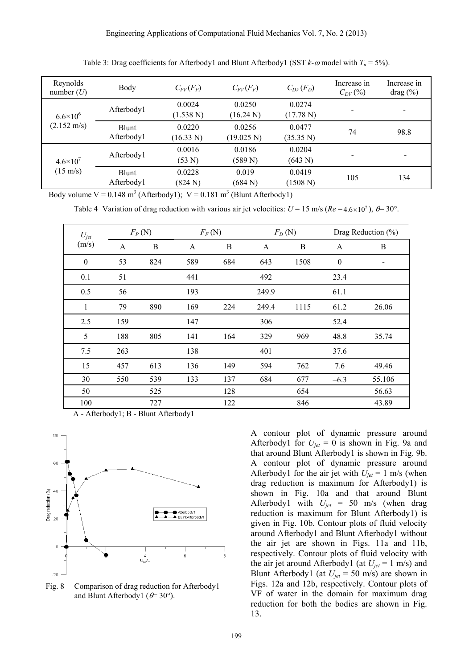| Reynolds<br>number $(U)$                     | Body                | $C_{PV}(F_P)$       | $C_{FV}(F_F)$        | $C_{DV}(F_D)$       | Increase in<br>$C_{DV}(%$ | Increase in<br>drag (%)  |
|----------------------------------------------|---------------------|---------------------|----------------------|---------------------|---------------------------|--------------------------|
| $6.6 \times 10^{6}$<br>$(2.152 \text{ m/s})$ | Afterbody1          | 0.0024<br>(1.538 N) | 0.0250<br>(16.24 N)  | 0.0274<br>(17.78 N) |                           | $\overline{\phantom{0}}$ |
|                                              | Blunt<br>Afterbody1 | 0.0220<br>(16.33 N) | 0.0256<br>(19.025 N) | 0.0477<br>(35.35 N) | 74                        | 98.8                     |
| $4.6 \times 10^{7}$<br>$(15 \text{ m/s})$    | Afterbody1          | 0.0016<br>(53 N)    | 0.0186<br>(589 N)    | 0.0204<br>(643 N)   |                           |                          |
|                                              | Blunt<br>Afterbody1 | 0.0228<br>(824 N)   | 0.019<br>(684 N)     | 0.0419<br>(1508 N)  | 105                       | 134                      |

Table 3: Drag coefficients for Afterbody1 and Blunt Afterbody1 (SST  $k$ - $\omega$  model with  $T_u = 5\%$ ).

Body volume  $\nabla = 0.148 \text{ m}^3$  (Afterbody1);  $\nabla = 0.181 \text{ m}^3$  (Blunt Afterbody1)

Table 4 Variation of drag reduction with various air jet velocities:  $U = 15$  m/s ( $Re = 4.6 \times 10^{7}$ ),  $\theta = 30^{\circ}$ .

| $U_{jet}$        |     | $F_P(N)$         | $F_F(N)$ |          |              | $F_D(N)$ |                  | Drag Reduction $(\%)$ |
|------------------|-----|------------------|----------|----------|--------------|----------|------------------|-----------------------|
| (m/s)            | A   | $\boldsymbol{B}$ | A        | $\bf{B}$ | $\mathbf{A}$ | $\bf{B}$ | $\mathbf{A}$     | B                     |
| $\boldsymbol{0}$ | 53  | 824              | 589      | 684      | 643          | 1508     | $\boldsymbol{0}$ | -                     |
| 0.1              | 51  |                  | 441      |          | 492          |          | 23.4             |                       |
| 0.5              | 56  |                  | 193      |          | 249.9        |          | 61.1             |                       |
| $\mathbf{1}$     | 79  | 890              | 169      | 224      | 249.4        | 1115     | 61.2             | 26.06                 |
| 2.5              | 159 |                  | 147      |          | 306          |          | 52.4             |                       |
| 5                | 188 | 805              | 141      | 164      | 329          | 969      | 48.8             | 35.74                 |
| 7.5              | 263 |                  | 138      |          | 401          |          | 37.6             |                       |
| 15               | 457 | 613              | 136      | 149      | 594          | 762      | 7.6              | 49.46                 |
| 30               | 550 | 539              | 133      | 137      | 684          | 677      | $-6.3$           | 55.106                |
| 50               |     | 525              |          | 128      |              | 654      |                  | 56.63                 |
| 100              |     | 727              |          | 122      |              | 846      |                  | 43.89                 |

A - Afterbody1; B - Blunt Afterbody1



Fig. 8 Comparison of drag reduction for Afterbody1 and Blunt Afterbody1 ( $\theta$ = 30°).

A contour plot of dynamic pressure around Afterbody1 for  $U_{jet} = 0$  is shown in Fig. 9a and that around Blunt Afterbody1 is shown in Fig. 9b. A contour plot of dynamic pressure around Afterbody1 for the air jet with  $U_{jet} = 1$  m/s (when drag reduction is maximum for Afterbody1) is shown in Fig. 10a and that around Blunt Afterbody1 with *Ujet* = 50 m/s (when drag reduction is maximum for Blunt Afterbody1) is given in Fig. 10b. Contour plots of fluid velocity around Afterbody1 and Blunt Afterbody1 without the air jet are shown in Figs. 11a and 11b, respectively. Contour plots of fluid velocity with the air jet around Afterbody1 (at  $U_{jet} = 1$  m/s) and Blunt Afterbody1 (at  $U_{jet} = 50$  m/s) are shown in Figs. 12a and 12b, respectively. Contour plots of VF of water in the domain for maximum drag reduction for both the bodies are shown in Fig. 13.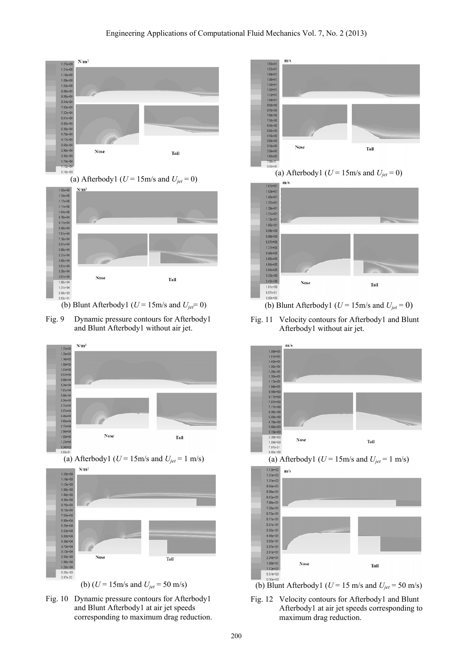#### Engineering Applications of Computational Fluid Mechanics Vol. 7, No. 2 (2013)



(a) Afterbody1 ( $U = 15$ m/s and  $U_{jet} = 0$ )



(b) Blunt Afterbody1 ( $U = 15$ m/s and  $U_{jet} = 0$ )

Fig. 9 Dynamic pressure contours for Afterbody1 and Blunt Afterbody1 without air jet.



(a) Afterbody1 ( $U = 15$ m/s and  $U_{jet} = 1$  m/s)



(b) (*U* = 15m/s and *Ujet* = 50 m/s)









Fig. 11 Velocity contours for Afterbody1 and Blunt Afterbody1 without air jet.



(a) Afterbody1 ( $U = 15$ m/s and  $U_{jet} = 1$  m/s)



(b) Blunt Afterbody1 ( $U = 15$  m/s and  $U_{jet} = 50$  m/s)

Fig. 12 Velocity contours for Afterbody1 and Blunt Afterbody1 at air jet speeds corresponding to maximum drag reduction.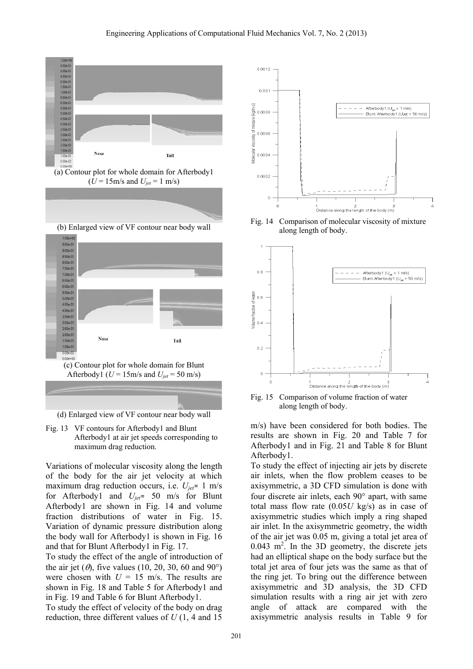

(a) Contour plot for whole domain for Afterbody1  $(U = 15 \text{m/s} \text{ and } U_{jet} = 1 \text{ m/s})$ 





(d) Enlarged view of VF contour near body wall

Fig. 13 VF contours for Afterbody1 and Blunt Afterbody1 at air jet speeds corresponding to maximum drag reduction.

Variations of molecular viscosity along the length of the body for the air jet velocity at which maximum drag reduction occurs, i.e.  $U_{jet}$  = 1 m/s for Afterbody1 and *Ujet*≈ 50 m/s for Blunt Afterbody1 are shown in Fig. 14 and volume fraction distributions of water in Fig. 15. Variation of dynamic pressure distribution along the body wall for Afterbody1 is shown in Fig. 16 and that for Blunt Afterbody1 in Fig. 17.

To study the effect of the angle of introduction of the air jet  $(\theta)$ , five values (10, 20, 30, 60 and 90°) were chosen with  $U = 15$  m/s. The results are shown in Fig. 18 and Table 5 for Afterbody1 and in Fig. 19 and Table 6 for Blunt Afterbody1.

To study the effect of velocity of the body on drag reduction, three different values of *U* (1, 4 and 15



Fig. 14 Comparison of molecular viscosity of mixture along length of body.



Fig. 15 Comparison of volume fraction of water along length of body.

m/s) have been considered for both bodies. The results are shown in Fig. 20 and Table 7 for Afterbody1 and in Fig. 21 and Table 8 for Blunt Afterbody1.

To study the effect of injecting air jets by discrete air inlets, when the flow problem ceases to be axisymmetric, a 3D CFD simulation is done with four discrete air inlets, each  $90^\circ$  apart, with same total mass flow rate (0.05*U* kg/s) as in case of axisymmetric studies which imply a ring shaped air inlet. In the axisymmetric geometry, the width of the air jet was 0.05 m, giving a total jet area of  $0.043$  m<sup>2</sup>. In the 3D geometry, the discrete jets had an elliptical shape on the body surface but the total jet area of four jets was the same as that of the ring jet. To bring out the difference between axisymmetric and 3D analysis, the 3D CFD simulation results with a ring air jet with zero angle of attack are compared with the axisymmetric analysis results in Table 9 for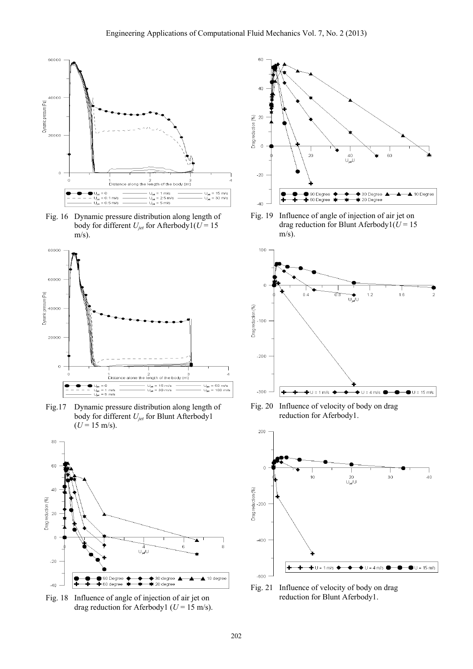

Fig. 16 Dynamic pressure distribution along length of body for different  $U_{jet}$  for Afterbody1( $U = 15$  $m/s$ ).



Fig.17 Dynamic pressure distribution along length of body for different *Ujet* for Blunt Afterbody1  $(U = 15 \text{ m/s}).$ 



Fig. 18 Influence of angle of injection of air jet on drag reduction for Aferbody1 ( $U = 15$  m/s).



Fig. 19 Influence of angle of injection of air jet on drag reduction for Blunt Aferbody $1(U = 15$  $m/s$ ).



Fig. 20 Influence of velocity of body on drag reduction for Aferbody1.



Fig. 21 Influence of velocity of body on drag reduction for Blunt Aferbody1.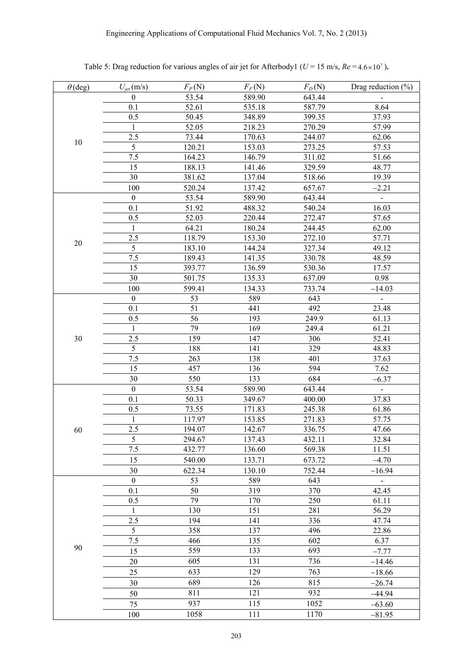|                |                  | $F_P(N)$ | $F_F(N)$ |          | Drag reduction $(\% )$ |
|----------------|------------------|----------|----------|----------|------------------------|
| $\theta$ (deg) | $U_{jet}$ (m/s)  |          |          | $F_D(N)$ |                        |
|                | $\boldsymbol{0}$ | 53.54    | 589.90   | 643.44   |                        |
|                | 0.1              | 52.61    | 535.18   | 587.79   | 8.64                   |
|                | 0.5              | 50.45    | 348.89   | 399.35   | 37.93                  |
|                | 1                | 52.05    | 218.23   | 270.29   | 57.99                  |
| 10             | 2.5              | 73.44    | 170.63   | 244.07   | 62.06                  |
|                | 5                | 120.21   | 153.03   | 273.25   | 57.53                  |
|                | 7.5              | 164.23   | 146.79   | 311.02   | 51.66                  |
|                | 15               | 188.13   | 141.46   | 329.59   | 48.77                  |
|                | 30               | 381.62   | 137.04   | 518.66   | 19.39                  |
|                | 100              | 520.24   | 137.42   | 657.67   | $-2.21$                |
|                | $\boldsymbol{0}$ | 53.54    | 589.90   | 643.44   |                        |
|                | 0.1              | 51.92    | 488.32   | 540.24   | 16.03                  |
|                | 0.5              | 52.03    | 220.44   | 272.47   | 57.65                  |
|                | 1                | 64.21    | 180.24   | 244.45   | 62.00                  |
|                | 2.5              | 118.79   | 153.30   | 272.10   | 57.71                  |
| $20\,$         | 5                | 183.10   | 144.24   | 327.34   | 49.12                  |
|                | 7.5              | 189.43   | 141.35   | 330.78   | 48.59                  |
|                | 15               | 393.77   | 136.59   | 530.36   | 17.57                  |
|                | 30               | 501.75   | 135.33   | 637.09   | 0.98                   |
|                | 100              | 599.41   | 134.33   | 733.74   | $-14.03$               |
|                | $\boldsymbol{0}$ | 53       | 589      | 643      | $\blacksquare$         |
|                | 0.1              | 51       | 441      | 492      | 23.48                  |
|                | 0.5              | 56       | 193      | 249.9    | 61.13                  |
|                | $\mathbf{1}$     | 79       | 169      | 249.4    | 61.21                  |
|                | 2.5              | 159      | 147      | 306      | 52.41                  |
| 30             | $\overline{5}$   | 188      | 141      | 329      |                        |
|                | 7.5              |          | 138      | 401      | 48.83                  |
|                |                  | 263      |          |          | 37.63                  |
|                | 15               | 457      | 136      | 594      | 7.62                   |
|                | 30               | 550      | 133      | 684      | $-6.37$                |
|                | $\boldsymbol{0}$ | 53.54    | 589.90   | 643.44   | $\blacksquare$         |
|                | 0.1              | 50.33    | 349.67   | 400.00   | 37.83                  |
|                | 0.5              | 73.55    | 171.83   | 245.38   | 61.86                  |
|                | 1                | 117.97   | 153.85   | 271.83   | 57.75                  |
| 60             | 2.5              | 194.07   | 142.67   | 336.75   | 47.66                  |
|                | 5                | 294.67   | 137.43   | 432.11   | 32.84                  |
|                | $\overline{7.5}$ | 432.77   | 136.60   | 569.38   | 11.51                  |
|                | 15               | 540.00   | 133.71   | 673.72   | $-4.70$                |
|                | 30               | 622.34   | 130.10   | 752.44   | $-16.94$               |
|                | $\boldsymbol{0}$ | 53       | 589      | 643      |                        |
|                | 0.1              | 50       | 319      | 370      | 42.45                  |
|                | 0.5              | 79       | 170      | 250      | 61.11                  |
|                | 1                | 130      | 151      | 281      | 56.29                  |
|                | 2.5              | 194      | 141      | 336      | 47.74                  |
|                | 5                | 358      | 137      | 496      | 22.86                  |
|                | 7.5              | 466      | 135      | 602      | 6.37                   |
| 90             | 15               | 559      | 133      | 693      | $-7.77$                |
|                | 20               | 605      | 131      | 736      | $-14.46$               |
|                | 25               | 633      | 129      | 763      | $-18.66$               |
|                |                  | 689      | 126      | 815      |                        |
|                | 30               |          |          |          | $-26.74$               |
|                | 50               | 811      | 121      | 932      | $-44.94$               |
|                | 75               | 937      | 115      | 1052     | $-63.60$               |
|                | 100              | 1058     | 111      | 1170     | $-81.95$               |

Table 5: Drag reduction for various angles of air jet for Afterbody1 ( $U = 15$  m/s,  $Re = 4.6 \times 10^{7}$ ).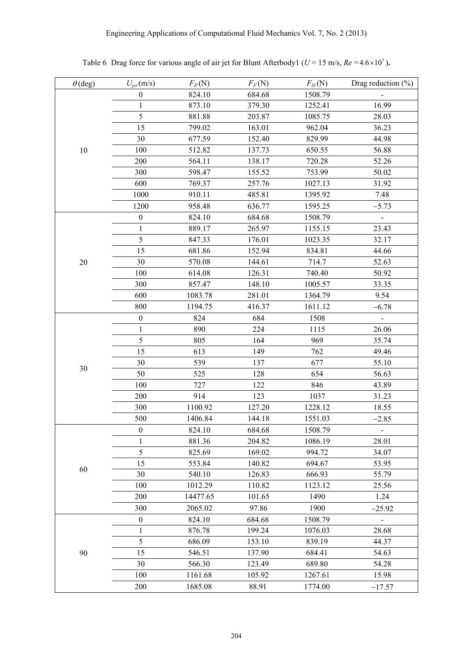| $\theta$ (deg) | $U_{jet}$ (m/s)  | $F_P(N)$ | $F_F(N)$ | $F_D(N)$ | Drag reduction $(\%)$        |
|----------------|------------------|----------|----------|----------|------------------------------|
|                | $\boldsymbol{0}$ | 824.10   | 684.68   | 1508.79  |                              |
|                | $\mathbf{1}$     | 873.10   | 379.30   | 1252.41  | 16.99                        |
|                | 5                | 881.88   | 203.87   | 1085.75  | 28.03                        |
| 10             | 15               | 799.02   | 163.01   | 962.04   | 36.23                        |
|                | 30               | 677.59   | 152.40   | 829.99   | 44.98                        |
|                | 100              | 512.82   | 137.73   | 650.55   | 56.88                        |
|                | 200              | 564.11   | 138.17   | 720.28   | 52.26                        |
|                | 300              | 598.47   | 155.52   | 753.99   | 50.02                        |
|                | 600              | 769.37   | 257.76   | 1027.13  | 31.92                        |
|                | 1000             | 910.11   | 485.81   | 1395.92  | 7.48                         |
|                | 1200             | 958.48   | 636.77   | 1595.25  | $-5.73$                      |
|                | $\boldsymbol{0}$ | 824.10   | 684.68   | 1508.79  | $\overline{\phantom{a}}$     |
|                | $\mathbf{1}$     | 889.17   | 265.97   | 1155.15  | 23.43                        |
|                | $\sqrt{5}$       | 847.33   | 176.01   | 1023.35  | 32.17                        |
| $20\,$         | 15               | 681.86   | 152.94   | 834.81   | 44.66                        |
|                | 30               | 570.08   | 144.61   | 714.7    | 52.63                        |
|                | 100              | 614.08   | 126.31   | 740.40   | 50.92                        |
|                | 300              | 857.47   | 148.10   | 1005.57  | 33.35                        |
|                | 600              | 1083.78  | 281.01   | 1364.79  | 9.54                         |
|                | 800              | 1194.75  | 416.37   | 1611.12  | $-6.78$                      |
|                | $\boldsymbol{0}$ | 824      | 684      | 1508     | $\qquad \qquad \blacksquare$ |
|                | 1                | 890      | 224      | 1115     | 26.06                        |
|                | $\sqrt{5}$       | 805      | 164      | 969      | 35.74                        |
|                | 15               | 613      | 149      | 762      | 49.46                        |
|                | 30               | 539      | 137      | 677      | 55.10                        |
| $30\,$         | 50               | 525      | 128      | 654      | 56.63                        |
|                | 100              | 727      | 122      | 846      | 43.89                        |
|                | 200              | 914      | 123      | 1037     | 31.23                        |
|                | 300              | 1100.92  | 127.20   | 1228.12  | 18.55                        |
|                | 500              | 1406.84  | 144.18   | 1551.03  | $-2.85$                      |
|                | $\boldsymbol{0}$ | 824.10   | 684.68   | 1508.79  |                              |
|                | $\mathbf{1}$     | 881.36   | 204.82   | 1086.19  | 28.01                        |
|                | 5                | 825.69   | 169.02   | 994.72   | 34.07                        |
|                | 15               | 553.84   | 140.82   | 694.67   | 53.95                        |
| 60             | 30               | 540.10   | 126.83   | 666.93   | 55.79                        |
|                | 100              | 1012.29  | 110.82   | 1123.12  | 25.56                        |
|                | 200              | 14477.65 | 101.65   | 1490     | 1.24                         |
|                | 300              | 2065.02  | 97.86    | 1900     | $-25.92$                     |
|                | $\boldsymbol{0}$ | 824.10   | 684.68   | 1508.79  |                              |
|                | 1                | 876.78   | 199.24   | 1076.03  | $\blacksquare$               |
|                | 5                |          |          |          | 28.68                        |
|                |                  | 686.09   | 153.10   | 839.19   | 44.37                        |
| 90             | 15               | 546.51   | 137.90   | 684.41   | 54.63                        |
|                | 30               | 566.30   | 123.49   | 689.80   | 54.28                        |
|                | 100              | 1161.68  | 105.92   | 1267.61  | 15.98                        |
|                | 200              | 1685.08  | 88.91    | 1774.00  | $-17.57$                     |

Table 6 Drag force for various angle of air jet for Blunt Afterbody1 ( $U = 15$  m/s,  $Re = 4.6 \times 10^{7}$ ).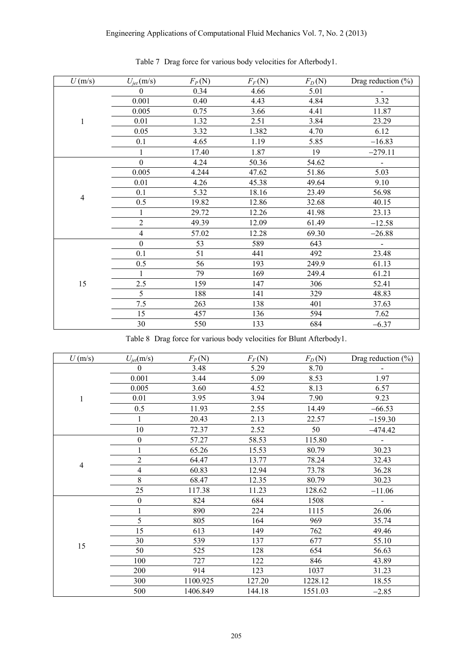| U(m/s)         | $U_{jet}$ (m/s)  | $F_P(N)$ | $F_F(N)$ | $F_D(N)$ | Drag reduction $(\% )$   |
|----------------|------------------|----------|----------|----------|--------------------------|
|                | $\Omega$         | 0.34     | 4.66     | 5.01     |                          |
|                | 0.001            | 0.40     | 4.43     | 4.84     | 3.32                     |
|                | 0.005            | 0.75     | 3.66     | 4.41     | 11.87                    |
| $\mathbf{1}$   | 0.01             | 1.32     | 2.51     | 3.84     | 23.29                    |
|                | 0.05             | 3.32     | 1.382    | 4.70     | 6.12                     |
|                | 0.1              | 4.65     | 1.19     | 5.85     | $-16.83$                 |
|                | 1                | 17.40    | 1.87     | 19       | $-279.11$                |
|                | $\boldsymbol{0}$ | 4.24     | 50.36    | 54.62    | $\overline{\phantom{a}}$ |
|                | 0.005            | 4.244    | 47.62    | 51.86    | 5.03                     |
|                | 0.01             | 4.26     | 45.38    | 49.64    | 9.10                     |
|                | 0.1              | 5.32     | 18.16    | 23.49    | 56.98                    |
| $\overline{4}$ | 0.5              | 19.82    | 12.86    | 32.68    | 40.15                    |
|                | 1                | 29.72    | 12.26    | 41.98    | 23.13                    |
|                | $\sqrt{2}$       | 49.39    | 12.09    | 61.49    | $-12.58$                 |
|                | 4                | 57.02    | 12.28    | 69.30    | $-26.88$                 |
|                | $\boldsymbol{0}$ | 53       | 589      | 643      | $\blacksquare$           |
|                | 0.1              | 51       | 441      | 492      | 23.48                    |
|                | 0.5              | 56       | 193      | 249.9    | 61.13                    |
|                | 1                | 79       | 169      | 249.4    | 61.21                    |
| 15             | 2.5              | 159      | 147      | 306      | 52.41                    |
|                | 5                | 188      | 141      | 329      | 48.83                    |
|                | 7.5              | 263      | 138      | 401      | 37.63                    |
|                | 15               | 457      | 136      | 594      | 7.62                     |
|                | 30               | 550      | 133      | 684      | $-6.37$                  |

Table 7 Drag force for various body velocities for Afterbody1.

Table 8 Drag force for various body velocities for Blunt Afterbody1.

| U(m/s)                   | $U_{\text{jet}}(\text{m/s})$ | $F_P(N)$ | $F_F(N)$ | $F_D(N)$ | Drag reduction (%) |
|--------------------------|------------------------------|----------|----------|----------|--------------------|
|                          | $\theta$                     | 3.48     | 5.29     | 8.70     |                    |
|                          | 0.001                        | 3.44     | 5.09     | 8.53     | 1.97               |
|                          | 0.005                        | 3.60     | 4.52     | 8.13     | 6.57               |
| $\mathbf{1}$             | 0.01                         | 3.95     | 3.94     | 7.90     | 9.23               |
|                          | 0.5                          | 11.93    | 2.55     | 14.49    | $-66.53$           |
|                          | 1                            | 20.43    | 2.13     | 22.57    | $-159.30$          |
|                          | 10                           | 72.37    | 2.52     | 50       | $-474.42$          |
| $\overline{\mathcal{A}}$ | $\boldsymbol{0}$             | 57.27    | 58.53    | 115.80   |                    |
|                          |                              | 65.26    | 15.53    | 80.79    | 30.23              |
|                          | $\sqrt{2}$                   | 64.47    | 13.77    | 78.24    | 32.43              |
|                          | $\overline{4}$               | 60.83    | 12.94    | 73.78    | 36.28              |
|                          | $\,8\,$                      | 68.47    | 12.35    | 80.79    | 30.23              |
|                          | 25                           | 117.38   | 11.23    | 128.62   | $-11.06$           |
|                          | $\boldsymbol{0}$             | 824      | 684      | 1508     |                    |
|                          | 1                            | 890      | 224      | 1115     | 26.06              |
|                          | 5                            | 805      | 164      | 969      | 35.74              |
|                          | 15                           | 613      | 149      | 762      | 49.46              |
| 15                       | 30                           | 539      | 137      | 677      | 55.10              |
|                          | 50                           | 525      | 128      | 654      | 56.63              |
|                          | 100                          | 727      | 122      | 846      | 43.89              |
|                          | 200                          | 914      | 123      | 1037     | 31.23              |
|                          | 300                          | 1100.925 | 127.20   | 1228.12  | 18.55              |
|                          | 500                          | 1406.849 | 144.18   | 1551.03  | $-2.85$            |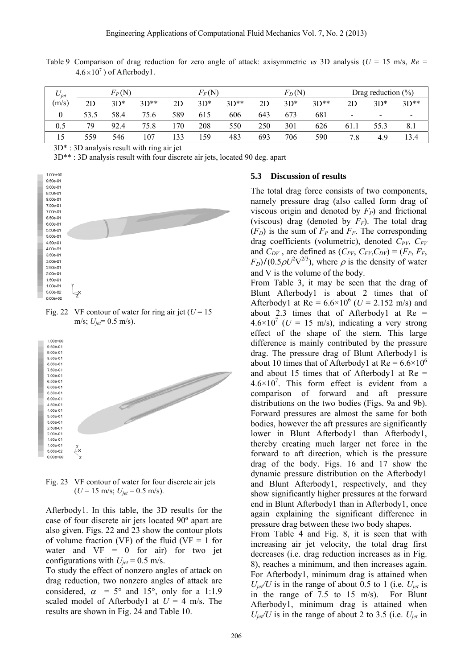|                                    |  |  |  | Table 9 Comparison of drag reduction for zero angle of attack: axisymmetric vs 3D analysis ( $U = 15$ m/s, $Re =$ |  |  |  |  |
|------------------------------------|--|--|--|-------------------------------------------------------------------------------------------------------------------|--|--|--|--|
| $4.6 \times 10^7$ ) of Afterbody1. |  |  |  |                                                                                                                   |  |  |  |  |

| $U_{jet}$ |      | $F_P(N)$ |        |     | $F_F({\rm N})$ |        |     | $F_D(N)$ |        |                        | Drag reduction $(\% )$ |                 |
|-----------|------|----------|--------|-----|----------------|--------|-----|----------|--------|------------------------|------------------------|-----------------|
| (m/s)     | 2D   | $3D*$    | $3D**$ | 2D  | $3D*$          | $3D**$ | 2D  | $3D*$    | $3D**$ | 2D                     | $3D*$                  | $3D**$          |
|           | 53.5 | 58.4     | 75.6   | 589 | 615            | 606    | 643 | 673      | 681    | $\qquad \qquad$        | $\blacksquare$         | $\qquad \qquad$ |
| 0.5       | 79   | 92.4     | 75.8   | 170 | 208            | 550    | 250 | 301      | 626    | 61.1                   | 55.3                   |                 |
| 15        | 559  | 546      | 107    | 133 | 59ء            | 483    | 693 | 706      | 590    | $\mathbf{r}$<br>$-7.8$ | $-4.9$                 | 13.4            |

3D\* : 3D analysis result with ring air jet

3D\*\* : 3D analysis result with four discrete air jets, located 90 deg. apart



Fig. 22 VF contour of water for ring air jet  $(U = 15$ m/s; *Ujet*= 0.5 m/s).



Fig. 23 VF contour of water for four discrete air jets  $(U = 15 \text{ m/s}; U_{jet} = 0.5 \text{ m/s}).$ 

Afterbody1. In this table, the 3D results for the case of four discrete air jets located 90º apart are also given. Figs. 22 and 23 show the contour plots of volume fraction (VF) of the fluid (VF  $=$  1 for water and  $VF = 0$  for air) for two jet configurations with  $U_{jet}$  = 0.5 m/s.

To study the effect of nonzero angles of attack on drag reduction, two nonzero angles of attack are considered,  $\alpha$  = 5° and 15°, only for a 1:1.9 scaled model of Afterbody1 at  $U = 4$  m/s. The results are shown in Fig. 24 and Table 10.

#### **5.3 Discussion of results**

The total drag force consists of two components, namely pressure drag (also called form drag of viscous origin and denoted by  $F_P$ ) and frictional (viscous) drag (denoted by  $F_F$ ). The total drag  $(F_D)$  is the sum of  $F_P$  and  $F_F$ . The corresponding drag coefficients (volumetric), denoted  $C_{PV}$ ,  $C_{FV}$ and  $C_{DY}$ , are defined as  $(C_{PV}, C_{FV}, C_{DY}) = (F_P, F_F, F_V)$  $F_D$ )/(0.5 $\rho U^2 \nabla^{2/3}$ ), where  $\rho$  is the density of water and  $\nabla$  is the volume of the body.

From Table 3, it may be seen that the drag of Blunt Afterbody1 is about 2 times that of Afterbody1 at  $Re = 6.6 \times 10^6$  (*U* = 2.152 m/s) and about 2.3 times that of Afterbody1 at  $Re =$  $4.6 \times 10^7$  (*U* = 15 m/s), indicating a very strong effect of the shape of the stern. This large difference is mainly contributed by the pressure drag. The pressure drag of Blunt Afterbody1 is about 10 times that of Afterbody1 at  $Re = 6.6 \times 10^6$ and about 15 times that of Afterbody1 at  $Re =$  $4.6 \times 10^{7}$ . This form effect is evident from a comparison of forward and aft pressure distributions on the two bodies (Figs. 9a and 9b). Forward pressures are almost the same for both bodies, however the aft pressures are significantly lower in Blunt Afterbody1 than Afterbody1, thereby creating much larger net force in the forward to aft direction, which is the pressure drag of the body. Figs. 16 and 17 show the dynamic pressure distribution on the Afterbody1 and Blunt Afterbody1, respectively, and they show significantly higher pressures at the forward end in Blunt Afterbody1 than in Afterbody1, once again explaining the significant difference in pressure drag between these two body shapes. From Table 4 and Fig. 8, it is seen that with increasing air jet velocity, the total drag first decreases (i.e. drag reduction increases as in Fig. 8), reaches a minimum, and then increases again. For Afterbody1, minimum drag is attained when  $U_{\text{jet}}/U$  is in the range of about 0.5 to 1 (i.e.  $U_{\text{jet}}$  is in the range of 7.5 to 15 m/s). For Blunt

Afterbody1, minimum drag is attained when  $U_{\text{jet}}/U$  is in the range of about 2 to 3.5 (i.e.  $U_{\text{jet}}$  in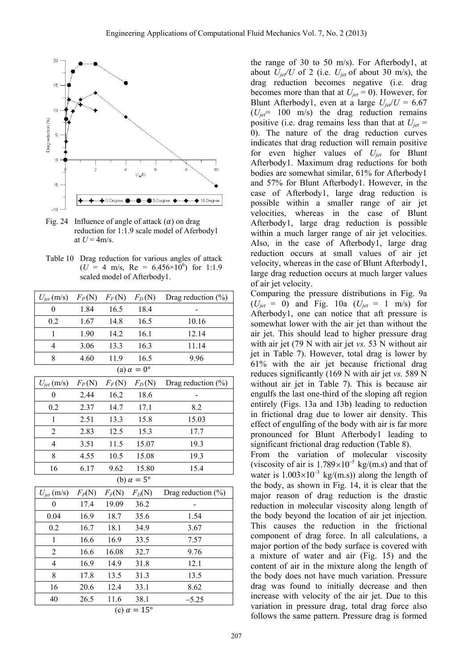

Fig. 24 Influence of angle of attack  $(\alpha)$  on drag reduction for 1:1.9 scale model of Aferbody1 at  $U = 4$ m/s.

Table 10 Drag reduction for various angles of attack  $(U = 4 \text{ m/s}, \text{ Re } = 6.456 \times 10^6) \text{ for } 1:1.9$ scaled model of Afterbody1.

| $U_{jet}$ (m/s)           | $F_P(N)$<br>$F_F(N)$ |          | $F_D(N)$                 | Drag reduction (%)     |  |  |  |  |  |  |  |  |
|---------------------------|----------------------|----------|--------------------------|------------------------|--|--|--|--|--|--|--|--|
| $\boldsymbol{0}$          | 1.84<br>16.5         |          | 18.4                     |                        |  |  |  |  |  |  |  |  |
| 0.2                       | 1.67                 | 14.8     | 16.5                     | 10.16                  |  |  |  |  |  |  |  |  |
| $\mathbf{1}$              | 1.90                 | 14.2     | 16.1                     | 12.14                  |  |  |  |  |  |  |  |  |
| $\overline{4}$            | 3.06                 | 13.3     | 16.3                     | 11.14                  |  |  |  |  |  |  |  |  |
| 8                         | 4.60                 | 11.9     | 16.5                     | 9.96                   |  |  |  |  |  |  |  |  |
| (a) $\alpha = 0^{\circ}$  |                      |          |                          |                        |  |  |  |  |  |  |  |  |
| $U_{jet}$ (m/s)           | $F_P(N)$             |          | $F_F(N)$ $F_D(N)$        | Drag reduction (%)     |  |  |  |  |  |  |  |  |
| $\boldsymbol{0}$          | 2.44                 | 16.2     | 18.6                     |                        |  |  |  |  |  |  |  |  |
| 0.2                       | 2.37                 | 14.7     | 17.1                     | 8.2                    |  |  |  |  |  |  |  |  |
| $\mathbf{1}$              | 2.51                 | 13.3     | 15.8                     | 15.03                  |  |  |  |  |  |  |  |  |
| $\overline{2}$            | 2.83                 | 12.5     | 15.3                     | 17.7                   |  |  |  |  |  |  |  |  |
| 4                         | 3.51                 | 11.5     | 15.07                    | 19.3                   |  |  |  |  |  |  |  |  |
| 8                         | 4.55                 | 10.5     | 15.08                    | 19.3                   |  |  |  |  |  |  |  |  |
| 16                        | 6.17                 | 9.62     | 15.80                    | 15.4                   |  |  |  |  |  |  |  |  |
|                           |                      |          | (b) $\alpha = 5^{\circ}$ |                        |  |  |  |  |  |  |  |  |
| $U_{jet}$ (m/s)           | $F_P(N)$             | $F_F(N)$ | $F_D(N)$                 | Drag reduction $(\% )$ |  |  |  |  |  |  |  |  |
| $\theta$                  | 17.4                 | 19.09    | 36.2                     |                        |  |  |  |  |  |  |  |  |
| 0.04                      | 16.9                 | 18.7     | 35.6                     | 1.54                   |  |  |  |  |  |  |  |  |
| 0.2                       | 16.7                 | 18.1     | 34.9                     | 3.67                   |  |  |  |  |  |  |  |  |
| $\mathbf{1}$              | 16.6                 | 16.9     | 33.5                     | 7.57                   |  |  |  |  |  |  |  |  |
| $\overline{2}$            | 16.6                 | 16.08    | 32.7                     | 9.76                   |  |  |  |  |  |  |  |  |
| $\overline{\mathbf{4}}$   | 16.9                 | 14.9     | 31.8                     | 12.1                   |  |  |  |  |  |  |  |  |
| 8                         | 17.8                 | 13.5     | 31.3                     | 13.5                   |  |  |  |  |  |  |  |  |
| 16                        | 20.6                 | 12.4     | 33.1                     | 8.62                   |  |  |  |  |  |  |  |  |
| 40                        | 26.5                 | 11.6     | 38.1                     | $-5.25$                |  |  |  |  |  |  |  |  |
| (c) $\alpha = 15^{\circ}$ |                      |          |                          |                        |  |  |  |  |  |  |  |  |

the range of 30 to 50 m/s). For Afterbody1, at about  $U_{\text{ref}}/U$  of 2 (i.e.  $U_{\text{jet}}$  of about 30 m/s), the drag reduction becomes negative (i.e. drag becomes more than that at  $U_{jet} = 0$ ). However, for Blunt Afterbody1, even at a large  $U_{\text{jet}}/U = 6.67$ (*Ujet*= 100 m/s) the drag reduction remains positive (i.e. drag remains less than that at  $U_{jet}$  = 0). The nature of the drag reduction curves indicates that drag reduction will remain positive for even higher values of *Ujet* for Blunt Afterbody1. Maximum drag reductions for both bodies are somewhat similar, 61% for Afterbody1 and 57% for Blunt Afterbody1. However, in the case of Afterbody1, large drag reduction is possible within a smaller range of air jet velocities, whereas in the case of Blunt Afterbody1, large drag reduction is possible within a much larger range of air jet velocities. Also, in the case of Afterbody1, large drag reduction occurs at small values of air jet velocity, whereas in the case of Blunt Afterbody1, large drag reduction occurs at much larger values of air jet velocity.

Comparing the pressure distributions in Fig. 9a  $(U_{jet} = 0)$  and Fig. 10a  $(U_{jet} = 1 \text{ m/s})$  for Afterbody1, one can notice that aft pressure is somewhat lower with the air jet than without the air jet. This should lead to higher pressure drag with air jet (79 N with air jet *vs.* 53 N without air jet in Table 7). However, total drag is lower by 61% with the air jet because frictional drag reduces significantly (169 N with air jet *vs.* 589 N without air jet in Table 7). This is because air engulfs the last one-third of the sloping aft region entirely (Figs. 13a and 13b) leading to reduction in frictional drag due to lower air density. This effect of engulfing of the body with air is far more pronounced for Blunt Afterbody1 leading to significant frictional drag reduction (Table 8).

From the variation of molecular viscosity (viscosity of air is  $1.789 \times 10^{-5}$  kg/(m.s) and that of water is  $1.003 \times 10^{-3}$  kg/(m.s)) along the length of the body, as shown in Fig. 14, it is clear that the major reason of drag reduction is the drastic reduction in molecular viscosity along length of the body beyond the location of air jet injection. This causes the reduction in the frictional component of drag force. In all calculations, a major portion of the body surface is covered with a mixture of water and air (Fig. 15) and the content of air in the mixture along the length of the body does not have much variation. Pressure drag was found to initially decrease and then increase with velocity of the air jet. Due to this variation in pressure drag, total drag force also follows the same pattern. Pressure drag is formed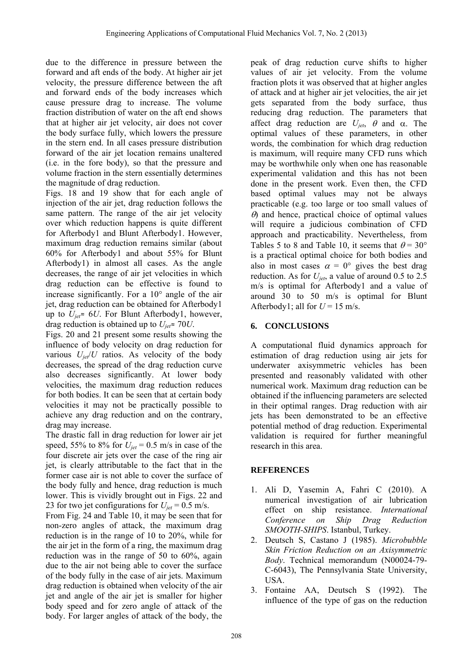due to the difference in pressure between the forward and aft ends of the body. At higher air jet velocity, the pressure difference between the aft and forward ends of the body increases which cause pressure drag to increase. The volume fraction distribution of water on the aft end shows that at higher air jet velocity, air does not cover the body surface fully, which lowers the pressure in the stern end. In all cases pressure distribution forward of the air jet location remains unaltered (i.e. in the fore body), so that the pressure and volume fraction in the stern essentially determines the magnitude of drag reduction.

Figs. 18 and 19 show that for each angle of injection of the air jet, drag reduction follows the same pattern. The range of the air jet velocity over which reduction happens is quite different for Afterbody1 and Blunt Afterbody1. However, maximum drag reduction remains similar (about 60% for Afterbody1 and about 55% for Blunt Afterbody1) in almost all cases. As the angle decreases, the range of air jet velocities in which drag reduction can be effective is found to increase significantly. For a  $10^{\circ}$  angle of the air jet, drag reduction can be obtained for Afterbody1 up to *Ujet*≈ 6*U*. For Blunt Afterbody1, however, drag reduction is obtained up to *Ujet*≈ 70*U*.

Figs. 20 and 21 present some results showing the influence of body velocity on drag reduction for various  $U_{\text{jet}}/U$  ratios. As velocity of the body decreases, the spread of the drag reduction curve also decreases significantly. At lower body velocities, the maximum drag reduction reduces for both bodies. It can be seen that at certain body velocities it may not be practically possible to achieve any drag reduction and on the contrary, drag may increase.

The drastic fall in drag reduction for lower air jet speed, 55% to 8% for  $U_{jet}$  = 0.5 m/s in case of the four discrete air jets over the case of the ring air jet, is clearly attributable to the fact that in the former case air is not able to cover the surface of the body fully and hence, drag reduction is much lower. This is vividly brought out in Figs. 22 and 23 for two jet configurations for  $U_{jet}$  = 0.5 m/s.

From Fig. 24 and Table 10, it may be seen that for non-zero angles of attack, the maximum drag reduction is in the range of 10 to 20%, while for the air jet in the form of a ring, the maximum drag reduction was in the range of 50 to 60%, again due to the air not being able to cover the surface of the body fully in the case of air jets. Maximum drag reduction is obtained when velocity of the air jet and angle of the air jet is smaller for higher body speed and for zero angle of attack of the body. For larger angles of attack of the body, the

peak of drag reduction curve shifts to higher values of air jet velocity. From the volume fraction plots it was observed that at higher angles of attack and at higher air jet velocities, the air jet gets separated from the body surface, thus reducing drag reduction. The parameters that affect drag reduction are  $U_{jet}$ ,  $\theta$  and  $\alpha$ . The optimal values of these parameters, in other words, the combination for which drag reduction is maximum, will require many CFD runs which may be worthwhile only when one has reasonable experimental validation and this has not been done in the present work. Even then, the CFD based optimal values may not be always practicable (e.g. too large or too small values of  $\theta$ ) and hence, practical choice of optimal values will require a judicious combination of CFD approach and practicability. Nevertheless, from Tables 5 to 8 and Table 10, it seems that  $\theta = 30^{\circ}$ is a practical optimal choice for both bodies and also in most cases  $\alpha = 0^{\circ}$  gives the best drag reduction. As for  $U_{\text{jet}}$ , a value of around 0.5 to 2.5 m/s is optimal for Afterbody1 and a value of around 30 to 50 m/s is optimal for Blunt Afterbody1; all for  $U = 15$  m/s.

# **6. CONCLUSIONS**

A computational fluid dynamics approach for estimation of drag reduction using air jets for underwater axisymmetric vehicles has been presented and reasonably validated with other numerical work. Maximum drag reduction can be obtained if the influencing parameters are selected in their optimal ranges. Drag reduction with air jets has been demonstrated to be an effective potential method of drag reduction. Experimental validation is required for further meaningful research in this area.

# **REFERENCES**

- 1. Ali D, Yasemin A, Fahri C (2010). A numerical investigation of air lubrication effect on ship resistance. *International Conference on Ship Drag Reduction SMOOTH-SHIPS*. Istanbul, Turkey.
- 2. Deutsch S, Castano J (1985). *Microbubble Skin Friction Reduction on an Axisymmetric Body*. Technical memorandum (N00024-79- C-6043), The Pennsylvania State University, USA.
- 3. Fontaine AA, Deutsch S (1992). The influence of the type of gas on the reduction